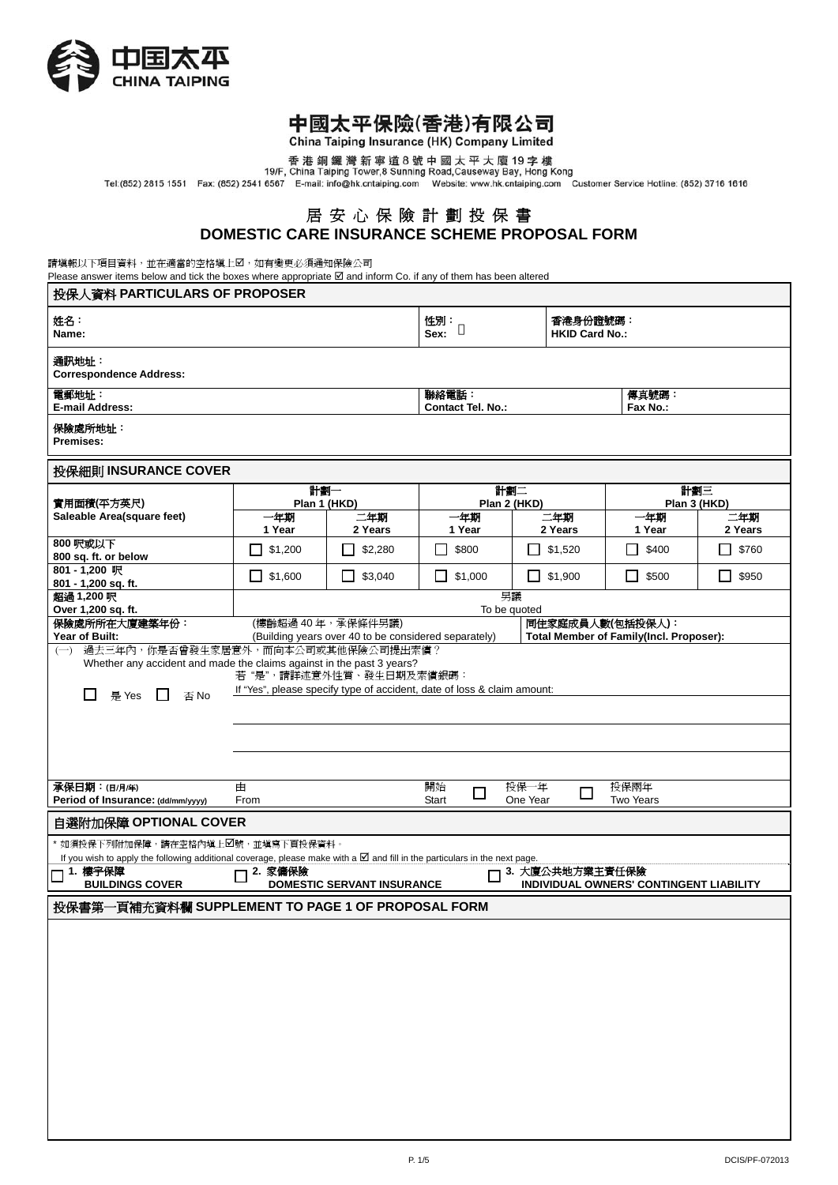

# 中國太平保險(香港)有限公司

China Taiping Insurance (HK) Company Limited

香港銅鑼灣新寧道8號中國太平大廈19字樓<br>19/F, China Taiping Tower,8 Sunning Road,Causeway Bay, Hong Kong<br>Tel:(852) 2815 1551 Fax: (852) 2541 6567 E-mail: info@hk.cntaiping.com Website: www.hk.cntaiping.com Customer Service Hotline: (852) 37

## 居 安 心 保 險 計 劃 投 保 書 **DOMESTIC CARE INSURANCE SCHEME PROPOSAL FORM**

請填報以下項目資料,並在適當的空格填上2,如有變更必須通知保險公司

Please answer items below and tick the boxes where appropriate  $\boxtimes$  and inform Co. if any of them has been altered

| 投保人資料 PARTICULARS OF PROPOSER                                                                                                                                             |                             |                                                      |                                   |                              |                                                             |                       |  |  |
|---------------------------------------------------------------------------------------------------------------------------------------------------------------------------|-----------------------------|------------------------------------------------------|-----------------------------------|------------------------------|-------------------------------------------------------------|-----------------------|--|--|
| 姓名:<br>Name:                                                                                                                                                              |                             |                                                      | 性別:<br>Sex:                       | <b>HKID Card No.:</b>        | 香港身份證號碼:                                                    |                       |  |  |
| 通訊地址:<br><b>Correspondence Address:</b>                                                                                                                                   |                             |                                                      |                                   |                              |                                                             |                       |  |  |
| 電郵地址:<br><b>E-mail Address:</b>                                                                                                                                           |                             |                                                      | 聯絡電話:<br><b>Contact Tel. No.:</b> |                              | 傳真號碼:<br>Fax No.:                                           |                       |  |  |
| 保險處所地址:<br>Premises:                                                                                                                                                      |                             |                                                      |                                   |                              |                                                             |                       |  |  |
| 投保細則 INSURANCE COVER                                                                                                                                                      |                             |                                                      |                                   |                              |                                                             |                       |  |  |
| 實用面積(平方英尺)                                                                                                                                                                | 計劃一<br>Plan 1 (HKD)         |                                                      | 計劃二<br>Plan 2 (HKD)               |                              |                                                             | 計劃三<br>Plan 3 (HKD)   |  |  |
| Saleable Area(square feet)                                                                                                                                                | 一年期                         | 三年期                                                  | 一年期                               | 二年期                          | 一年期                                                         | 二年期                   |  |  |
| 800 呎或以下<br>800 sq. ft. or below                                                                                                                                          | 1 Year<br>\$1,200<br>$\sim$ | 2 Years<br>\$2,280                                   | 1 Year<br>\$800<br>$\blacksquare$ | 2 Years<br>$\Box$<br>\$1,520 | 1 Year<br>\$400<br>$\mathsf{L}$                             | 2 Years<br>┓<br>\$760 |  |  |
| 801 - 1,200 呎<br>801 - 1,200 sq. ft.                                                                                                                                      | $\vert$ \$1,600             | $\mathsf{L}$<br>\$3,040                              | П.<br>\$1,000                     | $\Box$ \$1,900               | U<br>\$500                                                  | П<br>\$950            |  |  |
| 超過 1,200 呎                                                                                                                                                                |                             |                                                      | 另議                                |                              |                                                             |                       |  |  |
| Over 1,200 sq. ft.<br>保險處所所在大廈建築年份:<br>Year of Built:                                                                                                                     | (樓齡超過40年,承保條件另議)            | (Building years over 40 to be considered separately) | To be quoted                      |                              | 同住家庭成員人數(包括投保人):<br>Total Member of Family(Incl. Proposer): |                       |  |  |
| 若"是",請詳述意外性質、發生日期及索償銀碼:<br>If "Yes", please specify type of accident, date of loss & claim amount:<br>是 Yes<br>否No                                                        |                             |                                                      |                                   |                              |                                                             |                       |  |  |
| 承保日期:(日/月年)<br>Period of Insurance: (dd/mm/yyyy)                                                                                                                          | 由<br>From                   |                                                      | 開始<br>$\Box$<br>Start             | 投保一年<br>$\Box$<br>One Year   | 投保兩年<br><b>Two Years</b>                                    |                       |  |  |
| 自選附加保障 OPTIONAL COVER                                                                                                                                                     |                             |                                                      |                                   |                              |                                                             |                       |  |  |
| * 如須投保下列附加保障,請在空格內填上☑號,並填寫下頁投保資料。<br>If you wish to apply the following additional coverage, please make with a $\boxtimes$ and fill in the particulars in the next page. |                             |                                                      |                                   |                              |                                                             |                       |  |  |
| 1. 樓字保障<br><b>BUILDINGS COVER</b>                                                                                                                                         | 2. 家傭保險                     | <b>DOMESTIC SERVANT INSURANCE</b>                    |                                   | 3. 大廈公共地方業主責任保險              | INDIVIDUAL OWNERS' CONTINGENT LIABILITY                     |                       |  |  |
| 投保書第一頁補充資料欄 SUPPLEMENT TO PAGE 1 OF PROPOSAL FORM                                                                                                                         |                             |                                                      |                                   |                              |                                                             |                       |  |  |
|                                                                                                                                                                           |                             |                                                      |                                   |                              |                                                             |                       |  |  |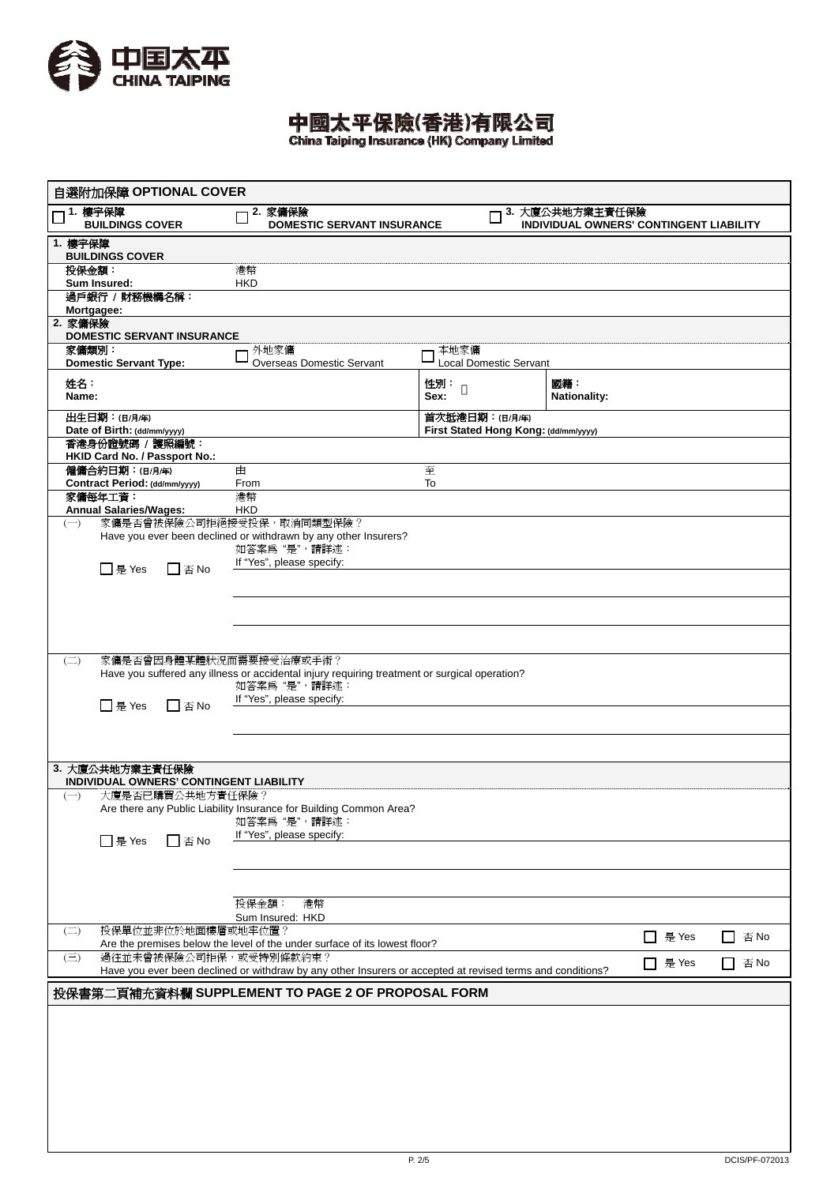

中國太平保險(香港)有限公司

| 自選附加保障 OPTIONAL COVER                                      |                                                                                                               |                                       |                                                            |                                                     |  |  |  |
|------------------------------------------------------------|---------------------------------------------------------------------------------------------------------------|---------------------------------------|------------------------------------------------------------|-----------------------------------------------------|--|--|--|
| 1. 樓宇保障<br><b>BUILDINGS COVER</b>                          | 2. 家傭保險<br><b>DOMESTIC SERVANT INSURANCE</b>                                                                  |                                       | 3. 大廈公共地方業主責任保險<br>INDIVIDUAL OWNERS' CONTINGENT LIABILITY |                                                     |  |  |  |
| 1. 樓字保障<br><b>BUILDINGS COVER</b>                          |                                                                                                               |                                       |                                                            |                                                     |  |  |  |
| 投保金額:<br>Sum Insured:                                      | 港幣<br><b>HKD</b>                                                                                              |                                       |                                                            |                                                     |  |  |  |
| 過戶銀行 / 財務機構名稱:                                             |                                                                                                               |                                       |                                                            |                                                     |  |  |  |
| Mortgagee:<br>2. 家傭保險<br><b>DOMESTIC SERVANT INSURANCE</b> |                                                                                                               |                                       |                                                            |                                                     |  |  |  |
| 家傭類別:<br><b>Domestic Servant Type:</b>                     | 外地家傭<br><b>Overseas Domestic Servant</b>                                                                      | 本地家傭<br><b>Local Domestic Servant</b> |                                                            |                                                     |  |  |  |
| 姓名:<br>Name:                                               |                                                                                                               | 性別:<br>Sex:                           | 國籍:<br><b>Nationality:</b>                                 |                                                     |  |  |  |
| 出生日期:(日/月/年)                                               |                                                                                                               | 首次抵港日期:(日/月/年)                        |                                                            |                                                     |  |  |  |
| Date of Birth: (dd/mm/yyyy)<br>香港身份證號碼 / 護照編號:             |                                                                                                               | First Stated Hong Kong: (dd/mm/yyyy)  |                                                            |                                                     |  |  |  |
| HKID Card No. / Passport No.:<br>僱傭合約日期:(日/月/年)            | 由                                                                                                             | 至                                     |                                                            |                                                     |  |  |  |
| Contract Period: (dd/mm/yyyy)<br>家傭每年工資:                   | From<br>港幣                                                                                                    | To                                    |                                                            |                                                     |  |  |  |
| Annual Salaries/Wages:                                     | <b>HKD</b>                                                                                                    |                                       |                                                            |                                                     |  |  |  |
| $(-)$                                                      | 家傭是否曾被保險公司拒絕接受投保,取消同類型保險?<br>Have you ever been declined or withdrawn by any other Insurers?<br>如答案為"是",請詳述:  |                                       |                                                            |                                                     |  |  |  |
| □ 是 Yes<br>$\square$ 否 No                                  | If "Yes", please specify:                                                                                     |                                       |                                                            |                                                     |  |  |  |
|                                                            |                                                                                                               |                                       |                                                            |                                                     |  |  |  |
|                                                            |                                                                                                               |                                       |                                                            |                                                     |  |  |  |
|                                                            |                                                                                                               |                                       |                                                            |                                                     |  |  |  |
| 家傭是否曾因身體某體狀況而需要接受治療或手術?<br>$\left(\square\right)$          | Have you suffered any illness or accidental injury requiring treatment or surgical operation?<br>如答案為"是",請詳述: |                                       |                                                            |                                                     |  |  |  |
| □ 是 Yes<br>$\square$ 否 No                                  | If "Yes", please specify:                                                                                     |                                       |                                                            |                                                     |  |  |  |
|                                                            |                                                                                                               |                                       |                                                            |                                                     |  |  |  |
|                                                            |                                                                                                               |                                       |                                                            |                                                     |  |  |  |
| 3. 大廈公共地方業主責任保險<br>INDIVIDUAL OWNERS' CONTINGENT LIABILITY |                                                                                                               |                                       |                                                            |                                                     |  |  |  |
| 大廈是否已購買公共地方責任保險?<br>$(-)$                                  | Are there any Public Liability Insurance for Building Common Area?<br>如答案為"是",請詳述:                            |                                       |                                                            |                                                     |  |  |  |
| □是 Yes<br>$\square$ 否 No                                   | If "Yes", please specify:                                                                                     |                                       |                                                            |                                                     |  |  |  |
|                                                            |                                                                                                               |                                       |                                                            |                                                     |  |  |  |
|                                                            | 投保金額:<br>港幣                                                                                                   |                                       |                                                            |                                                     |  |  |  |
| 投保單位並非位於地面樓層或地牢位置?                                         | Sum Insured: HKD                                                                                              |                                       |                                                            |                                                     |  |  |  |
| $\left(\square\right)$                                     | Are the premises below the level of the under surface of its lowest floor?                                    |                                       | □ 是 Yes                                                    | 否 No<br>l I                                         |  |  |  |
| 過往並未曾被保險公司拒保,或受特別條款約束?<br>$(\equiv)$                       | Have you ever been declined or withdraw by any other Insurers or accepted at revised terms and conditions?    |                                       | □ 是 Yes                                                    | $\square$ $\textcolor{red}{\widetilde{\otimes}}$ No |  |  |  |
| 投保書第二頁補充資料欄 SUPPLEMENT TO PAGE 2 OF PROPOSAL FORM          |                                                                                                               |                                       |                                                            |                                                     |  |  |  |
|                                                            |                                                                                                               |                                       |                                                            |                                                     |  |  |  |
|                                                            |                                                                                                               |                                       |                                                            |                                                     |  |  |  |
|                                                            |                                                                                                               |                                       |                                                            |                                                     |  |  |  |
|                                                            |                                                                                                               |                                       |                                                            |                                                     |  |  |  |
|                                                            |                                                                                                               |                                       |                                                            |                                                     |  |  |  |
|                                                            |                                                                                                               |                                       |                                                            |                                                     |  |  |  |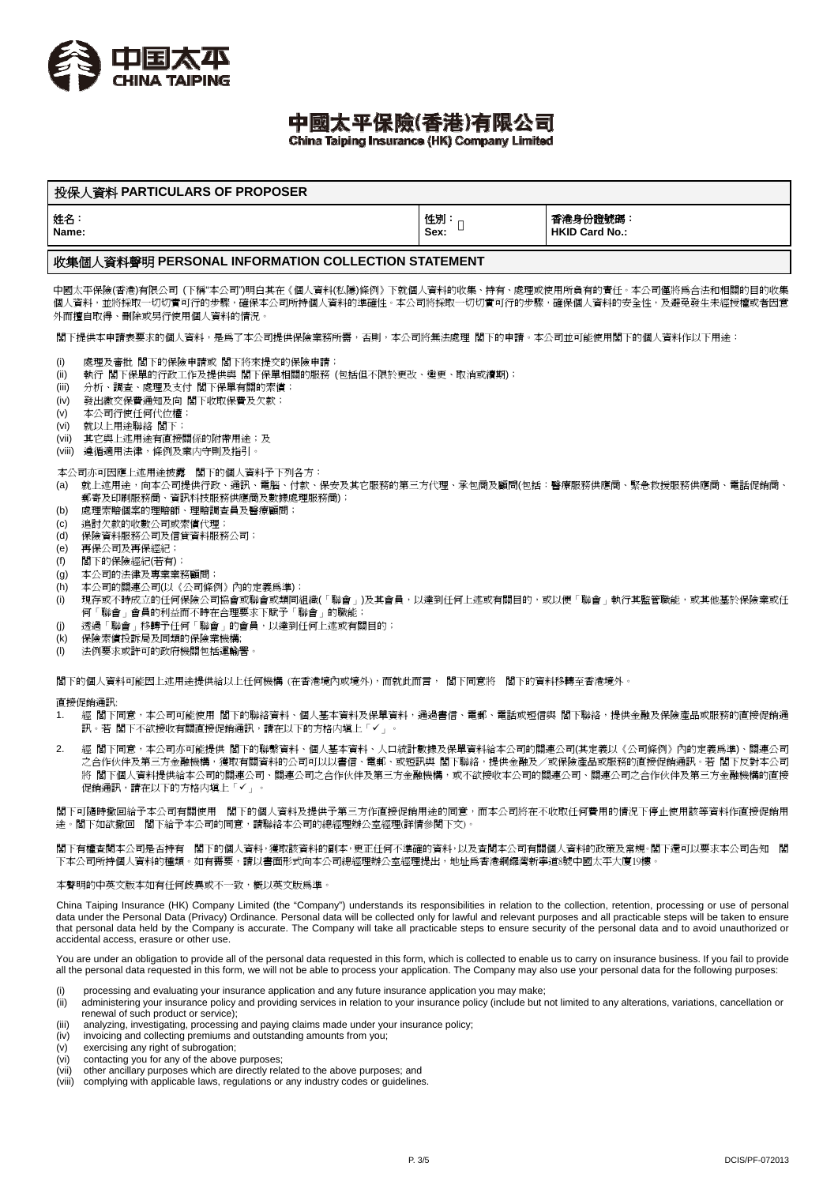

# 中國太平保險(香港)有限公司

China Taiping Insurance (HK) Company Limited

| 投保人資料 PARTICULARS OF PROPOSER |            |                                  |  |  |  |  |
|-------------------------------|------------|----------------------------------|--|--|--|--|
| 姓名<br>Name:                   | 性別<br>Sex: | 香港身份證號碼<br><b>HKID Card No.:</b> |  |  |  |  |
|                               |            |                                  |  |  |  |  |

### 收集個人資料聲明 **PERSONAL INFORMATION COLLECTION STATEMENT**

中國太平保險(香港)有限公司 (下稱"本公司")明白其在《個人資料(私隱)條例》下就個人資料的收集、持有、處理或使用所負有的責任。本公司僅將為合法和相關的目的收集 個人資料,並將採取一切切實可行的步驟,確保本公司所持個人資料的準確性。本公司將採取一切切實可行的步驟,確保個人資料的安全性,及避免發生未經授權或者因意 外而擅自取得、刪除或另行使用個人資料的情況。

閣下提供本申請表要求的個人資料,是為了本公司提供保險業務所需,否則,本公司將無法處理 閣下的申請。本公司並可能使用閣下的個人資料作以下用途:

- (i) 處理及審批 閣下的保險申請或 閣下將來提交的保險申請;
- (ii) 執行 閣下保單的行政工作及提供與 閣下保單相關的服務 (包括但不限於更改、變更、取消或續期);
- (iii) 分析、調查、處理及支付 閣下保單有關的索償;
- (iv) 發出繳交保費通知及向 閣下收取保費及欠款;
- (v) 本公司行使任何代位權;
- (vi) 就以上用途聯絡 閣下;
- (vii) 其它與上述用途有直接關係的附帶用途;及
- (viii) 遵循適用法律,條例及業内守則及指引。

本公司亦可因應上述用途披露 閣下的個人資料予下列各方:

- (a) 就上述用途,向本公司提供行政、通訊、電腦、付款、保安及其它服務的第三方代理、承包商及顧問(包括:醫療服務供應商、緊急救援服務供應商、電話促銷商、 郵寄及印刷服務商、資訊科技服務供應商及數據處理服務商);
- (b) 處理索賠個案的理賠師、理賠調查員及醫療顧問;
- (c) 追討欠款的收數公司或索償代理;
- (d) 保險資料服務公司及信貸資料服務公司;
- (e) 再保公司及再保經紀;<br>(f) 閣下的保險經紀(若有)
- (f) 閣下的保險經紀(若有);
- (g) 本公司的法律及專業業務顧問;
- (h) 本公司的關連公司(以《公司條例》內的定義為準);
- (i) 現存或不時成立的任何保險公司協會或聯會或類同組織(「聯會」)及其會員,以達到任何上述或有關目的,或以便「聯會」執行其監管職能,或其他基於保險業或任 何「聯會」會員的利益而不時在合理要求下賦予「聯會」的職能;
- (j) 透過「聯會」移轉予任何「聯會」的會員,以達到任何上述或有關目的;
- (k) 保險索償投訴局及同類的保險業機構;
- (l) 法例要求或許可的政府機關包括運輸署。

閣下的個人資料可能因上述用途提供給以上任何機構 (在香港境內或境外),而就此而言, 閣下同意將 閣下的資料移轉至香港境外。

#### 直接促銷通訊:

- 1. 經 閣下同意,本公司可能使用 閣下的聯絡資料、個人基本資料及保單資料,通過書信、電郵、電話或短信與 閣下聯絡,提供金融及保險產品或服務的直接促銷通 訊。若 関下不欲接收有關直接促銷通訊,請在以下的方格内增上「✔」。
- 2. 經 閣下同意,本公司亦可能提供 閣下的聯繫資料、個人基本資料、人口統計數據及保單資料給本公司的關連公司(其定義以《公司條例》內的定義為準)、關連公司 之合作伙伴及第三方金融機構,獲取有關資料的公司可以以書信、電郵、或短訊與 閣下聯絡,提供金融及/或保險產品或服務的直接促銷通訊。若 閣下反對本公司 將 閣下個人資料提供給本公司的關連公司、關連公司之合作伙伴及第三方金融機構,或不欲接收本公司的關連公司、關連公司之合作伙伴及第三方金融機構的直接 促銷通訊,請在以下的方格内填上「✔」

閣下可隨時撤回給予本公司有關使用 閣下的個人資料及提供予第三方作直接促銷用途的同意,而本公司將在不收取任何費用的情況下停止使用該等資料作直接促銷用 途。閣下如欲撤回 閣下給予本公司的同意,請聯絡本公司的總經理辦公室經理(詳情參閱下文)。

閣下有權查閱本公司是否持有 閣下的個人資料,獲取該資料的副本,更正任何不準確的資料,以及查閱本公司有關個人資料的政策及常規。閣下還可以要求本公司告知 閣 下本公司所持個人資料的種類。如有需要,請以書面形式向本公司總經理辦公室經理提出,地址爲香港銅鑼灣新寧道8號中國太平大廈19樓。

本聲明的中英文版本如有任何歧異或不一致,概以英文版為準。

China Taiping Insurance (HK) Company Limited (the "Company") understands its responsibilities in relation to the collection, retention, processing or use of personal data under the Personal Data (Privacy) Ordinance. Personal data will be collected only for lawful and relevant purposes and all practicable steps will be taken to ensure that personal data held by the Company is accurate. The Company will take all practicable steps to ensure security of the personal data and to avoid unauthorized or accidental access, erasure or other use.

You are under an obligation to provide all of the personal data requested in this form, which is collected to enable us to carry on insurance business. If you fail to provide all the personal data requested in this form, we will not be able to process your application. The Company may also use your personal data for the following purposes:

- processing and evaluating your insurance application and any future insurance application you may make;
- (ii) administering your insurance policy and providing services in relation to your insurance policy (include but not limited to any alterations, variations, cancellation or renewal of such product or service);
- (iii) analyzing, investigating, processing and paying claims made under your insurance policy;
- (iv) invoicing and collecting premiums and outstanding amounts from you;
- $(v)$  exercising any right of subrogation:
- (vi) contacting you for any of the above purposes;
- (vii) other ancillary purposes which are directly related to the above purposes; and<br>(viii) complying with applicable laws, regulations or any industry codes or guidelines
- complying with applicable laws, regulations or any industry codes or guidelines.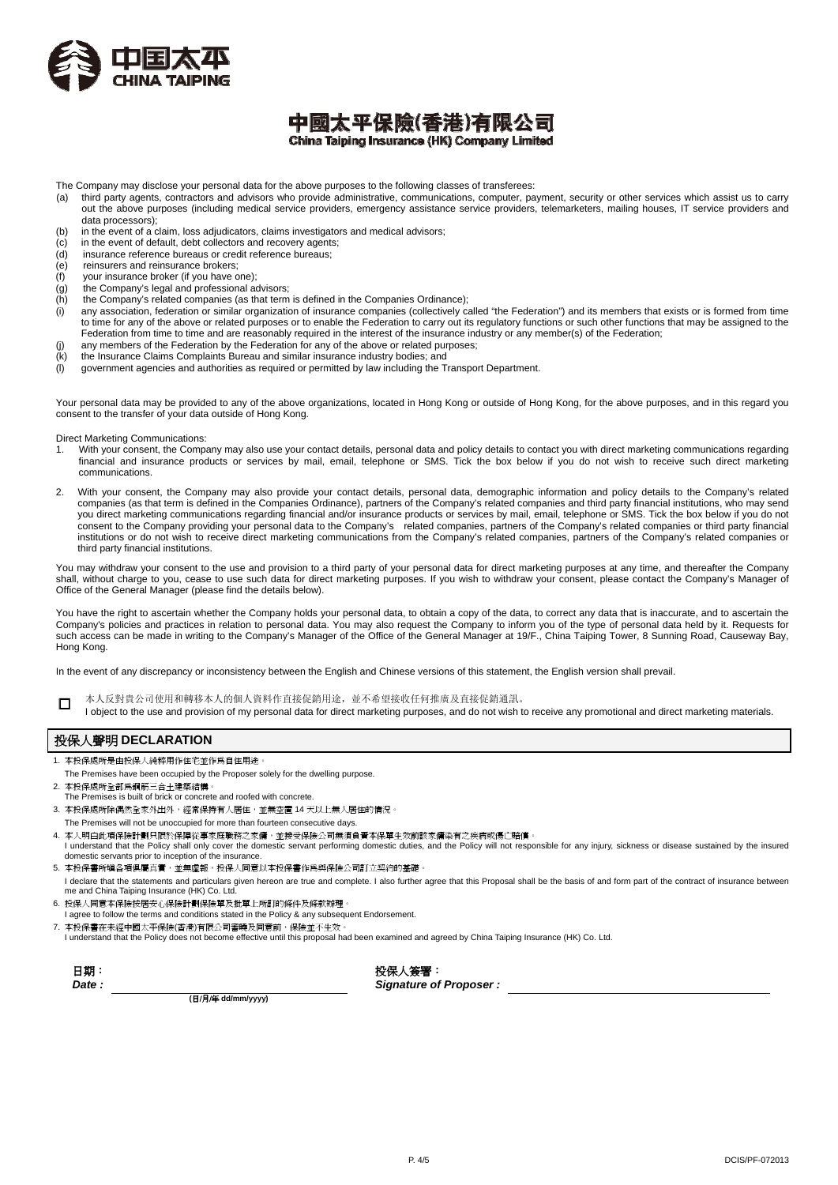

### 中國太平保險(香港)有限公司 China Taiping Insurance (HK) Company Limited

The Company may disclose your personal data for the above purposes to the following classes of transferees:<br>(a) third party agents, contractors and advisors who provide administrative, communications, computer, pa

- third party agents, contractors and advisors who provide administrative, communications, computer, payment, security or other services which assist us to carry out the above purposes (including medical service providers, emergency assistance service providers, telemarketers, mailing houses, IT service providers and data processors);
- (b) in the event of a claim, loss adjudicators, claims investigators and medical advisors;
- $(c)$  in the event of default, debt collectors and recovery agents;
- (d) insurance reference bureaus or credit reference bureaus;
- (e) reinsurers and reinsurance brokers;
- $(f)$  your insurance broker (if you have one);<br>(g) the Company's legal and professional ac
- $(g)$  the Company's legal and professional advisors;<br>(h) the Company's related companies (as that term
- the Company's related companies (as that term is defined in the Companies Ordinance);
- (i) any association, federation or similar organization of insurance companies (collectively called "the Federation") and its members that exists or is formed from time to time for any of the above or related purposes or to enable the Federation to carry out its regulatory functions or such other functions that may be assigned to the Federation from time to time and are reasonably required in the interest of the insurance industry or any member(s) of the Federation; (j) any members of the Federation by the Federation for any of the above or related purposes;
- (k) the Insurance Claims Complaints Bureau and similar insurance industry bodies; and
- (l) government agencies and authorities as required or permitted by law including the Transport Department.

Your personal data may be provided to any of the above organizations, located in Hong Kong or outside of Hong Kong, for the above purposes, and in this regard you consent to the transfer of your data outside of Hong Kong.

Direct Marketing Communications:

- 1. With your consent, the Company may also use your contact details, personal data and policy details to contact you with direct marketing communications regarding financial and insurance products or services by mail, email, telephone or SMS. Tick the box below if you do not wish to receive such direct marketing communications.
- 2. With your consent, the Company may also provide your contact details, personal data, demographic information and policy details to the Company's related companies (as that term is defined in the Companies Ordinance), partners of the Company's related companies and third party financial institutions, who may send you direct marketing communications regarding financial and/or insurance products or services by mail, email, telephone or SMS. Tick the box below if you do not consent to the Company providing your personal data to the Company's related companies, partners of the Company's related companies or third party financial institutions or do not wish to receive direct marketing communications from the Company's related companies, partners of the Company's related companies or third party financial institutions.

You may withdraw your consent to the use and provision to a third party of your personal data for direct marketing purposes at any time, and thereafter the Company shall, without charge to you, cease to use such data for direct marketing purposes. If you wish to withdraw your consent, please contact the Company's Manager of Office of the General Manager (please find the details below).

You have the right to ascertain whether the Company holds your personal data, to obtain a copy of the data, to correct any data that is inaccurate, and to ascertain the Company's policies and practices in relation to personal data. You may also request the Company to inform you of the type of personal data held by it. Requests for such access can be made in writing to the Company's Manager of the Office of the General Manager at 19/F., China Taiping Tower, 8 Sunning Road, Causeway Bay, Hong Kong.

In the event of any discrepancy or inconsistency between the English and Chinese versions of this statement, the English version shall prevail.

□ 本人反對貴公司使用和轉移本人的個人資料作直接促銷用途,並不希望接收任何推廣及直接促銷通訊。

I object to the use and provision of my personal data for direct marketing purposes, and do not wish to receive any promotional and direct marketing materials.

#### 投保人聲明 **DECLARATION**

- 1. 本投保處所是由投保人純粹用作住宅並作爲自住用途
- The Premises have been occupied by the Proposer solely for the dwelling purpose.
- 2. 本投保處所全部為鋼筋三合土建築結構。
- The Premises is built of brick or concrete and roofed with concrete.
- 3. 本投保處所除偶然全家外出外,經常保持有人居住,並無空置 14 天以上無人居住的情況。
- The Premises will not be unoccupied for more than fourteen consecutive days.
- 4. 本人明白此項保險計劃只限於保障從事家庭職務之家傭,並接受保險公司無須負責本保單生效前該家傭染有之疾病或傷亡賠償。 I understand that the Policy shall only cover the domestic servant performing domestic duties, and the Policy will not responsible for any injury, sickness or disease sustained by the insured domestic servants prior to inception of the insurance.
- 5. 本投保書所填各項俱屬真實,並無虛報,投保人同意以本投保書作爲與保險公司訂立契約的基礎。 I declare that the statements and particulars given hereon are true and complete. I also further agree that this Proposal shall be the basis of and form part of the contract of insurance between me and China Taiping Insurance (HK) Co. Ltd.
- 6. 投保人同意本保險按居安心保險計劃保險單及批單上所訂的條件及條款辦理。
- I agree to follow the terms and conditions stated in the Policy & any subsequent Endorsement.
- 
- 7. 本投保書在未經中國太平保險(香港)有限公司審曉及同意前,保險並不生效。<br>I understand that the Policy does not become effective until this proposal had been examined and agreed by China Taiping Insurance (HK) Co. Ltd.

| 日期     |  |
|--------|--|
| l )ate |  |

投保人簽署: *Signature of Proposer :*

**(**日/月/年 **dd/mm/yyyy)**